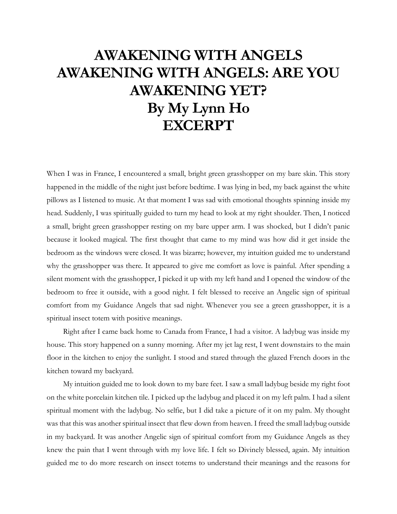## **AWAKENING WITH ANGELS AWAKENING WITH ANGELS: ARE YOU AWAKENING YET? By My Lynn Ho EXCERPT**

When I was in France, I encountered a small, bright green grasshopper on my bare skin. This story happened in the middle of the night just before bedtime. I was lying in bed, my back against the white pillows as I listened to music. At that moment I was sad with emotional thoughts spinning inside my head. Suddenly, I was spiritually guided to turn my head to look at my right shoulder. Then, I noticed a small, bright green grasshopper resting on my bare upper arm. I was shocked, but I didn't panic because it looked magical. The first thought that came to my mind was how did it get inside the bedroom as the windows were closed. It was bizarre; however, my intuition guided me to understand why the grasshopper was there. It appeared to give me comfort as love is painful. After spending a silent moment with the grasshopper, I picked it up with my left hand and I opened the window of the bedroom to free it outside, with a good night. I felt blessed to receive an Angelic sign of spiritual comfort from my Guidance Angels that sad night. Whenever you see a green grasshopper, it is a spiritual insect totem with positive meanings.

Right after I came back home to Canada from France, I had a visitor. A ladybug was inside my house. This story happened on a sunny morning. After my jet lag rest, I went downstairs to the main floor in the kitchen to enjoy the sunlight. I stood and stared through the glazed French doors in the kitchen toward my backyard.

My intuition guided me to look down to my bare feet. I saw a small ladybug beside my right foot on the white porcelain kitchen tile. I picked up the ladybug and placed it on my left palm. I had a silent spiritual moment with the ladybug. No selfie, but I did take a picture of it on my palm. My thought was that this was another spiritual insect that flew down from heaven. I freed the small ladybug outside in my backyard. It was another Angelic sign of spiritual comfort from my Guidance Angels as they knew the pain that I went through with my love life. I felt so Divinely blessed, again. My intuition guided me to do more research on insect totems to understand their meanings and the reasons for